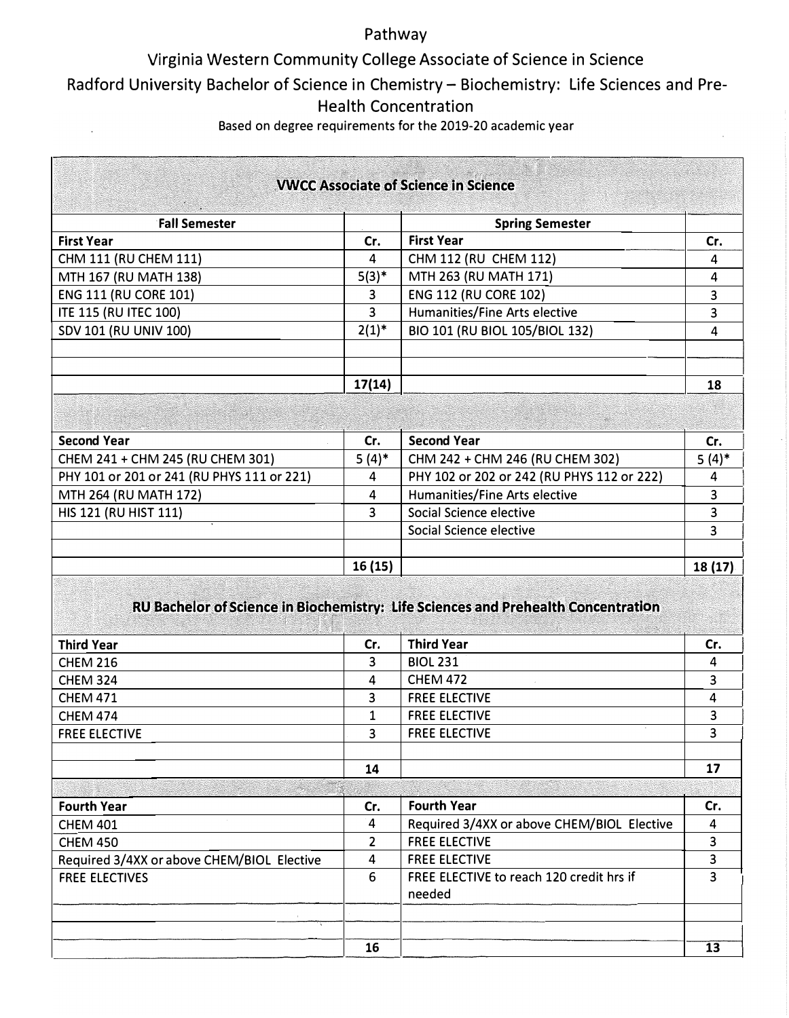## Pathway

## Virginia Western Community College Associate of Science in Science

Radford University Bachelor of Science in Chemistry- Biochemistry: Life Sciences and Pre-

# Health Concentration

Based on degree requirements for the 2019-20 academic year

 $\hat{\mathcal{E}}$ 

|                                                              |                | <b>VWCC Associate of Science in Science</b>                                       |          |
|--------------------------------------------------------------|----------------|-----------------------------------------------------------------------------------|----------|
|                                                              |                |                                                                                   |          |
| <b>Fall Semester</b>                                         |                | <b>Spring Semester</b><br><b>First Year</b>                                       |          |
| <b>First Year</b>                                            | Cr.            |                                                                                   | Cr.      |
| CHM 111 (RU CHEM 111)                                        | 4              | CHM 112 (RU CHEM 112)                                                             | 4        |
| MTH 167 (RU MATH 138)                                        | $5(3)^*$       | MTH 263 (RU MATH 171)                                                             | 4        |
| <b>ENG 111 (RU CORE 101)</b>                                 | 3              | <b>ENG 112 (RU CORE 102)</b>                                                      | 3        |
| <b>ITE 115 (RU ITEC 100)</b>                                 | 3              | Humanities/Fine Arts elective                                                     | 3        |
| SDV 101 (RU UNIV 100)                                        | $2(1)^{*}$     | BIO 101 (RU BIOL 105/BIOL 132)                                                    | 4        |
|                                                              | 17(14)         |                                                                                   | 18       |
|                                                              |                |                                                                                   |          |
| <b>Second Year</b>                                           | Cr.            | <b>Second Year</b>                                                                | Cr.      |
| CHEM 241 + CHM 245 (RU CHEM 301)                             | $5(4)$ *       | CHM 242 + CHM 246 (RU CHEM 302)                                                   | $5(4)^*$ |
| PHY 101 or 201 or 241 (RU PHYS 111 or 221)                   | 4              | PHY 102 or 202 or 242 (RU PHYS 112 or 222)                                        | 4        |
| MTH 264 (RU MATH 172)                                        | 4              | Humanities/Fine Arts elective                                                     | 3        |
| HIS 121 (RU HIST 111)                                        | 3              | Social Science elective                                                           | 3        |
|                                                              |                | Social Science elective                                                           | 3        |
|                                                              |                |                                                                                   |          |
|                                                              | 16(15)         |                                                                                   | 18 (17)  |
|                                                              |                | RU Bachelor of Science in Biochemistry: Life Sciences and Prehealth Concentration |          |
| <b>Third Year</b>                                            | Cr.            | <b>Third Year</b>                                                                 | Cr.      |
| <b>CHEM 216</b>                                              | 3              | <b>BIOL 231</b>                                                                   | 4        |
| <b>CHEM 324</b>                                              | 4              | <b>CHEM 472</b>                                                                   | 3        |
| <b>CHEM 471</b>                                              | 3              | <b>FREE ELECTIVE</b>                                                              | 4        |
| <b>CHEM 474</b>                                              | 1              | <b>FREE ELECTIVE</b>                                                              | 3        |
| <b>FREE ELECTIVE</b>                                         | 3              | <b>FREE ELECTIVE</b>                                                              |          |
|                                                              |                |                                                                                   | 3        |
|                                                              | 14             |                                                                                   | 17       |
|                                                              |                | <b>Fourth Year</b>                                                                |          |
| <b>Fourth Year</b>                                           | Cr.<br>4       |                                                                                   | Cr.      |
| <b>CHEM 401</b>                                              | $\overline{2}$ | Required 3/4XX or above CHEM/BIOL Elective                                        | 4<br>3   |
| <b>CHEM 450</b>                                              |                | <b>FREE ELECTIVE</b>                                                              |          |
| Required 3/4XX or above CHEM/BIOL Elective<br>FREE ELECTIVES | 4<br>6         | <b>FREE ELECTIVE</b><br>FREE ELECTIVE to reach 120 credit hrs if<br>needed        | 3<br>3   |
|                                                              |                |                                                                                   |          |